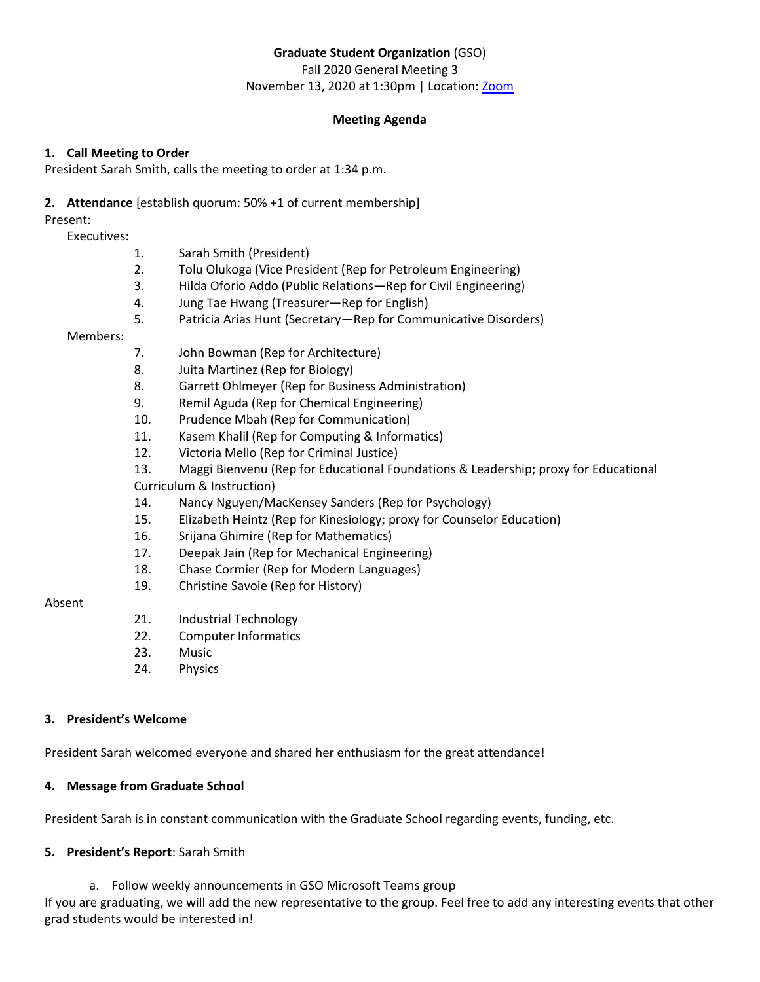# **Graduate Student Organization** (GSO)

Fall 2020 General Meeting 3 November 13, 2020 at 1:30pm | Location: [Zoom](https://ullafayette.zoom.us/j/98878773174)

## **Meeting Agenda**

## **1. Call Meeting to Order**

President Sarah Smith, calls the meeting to order at 1:34 p.m.

# **2. Attendance** [establish quorum: 50% +1 of current membership]

Present:

Executives:

- 1. Sarah Smith (President)
- 2. Tolu Olukoga (Vice President (Rep for Petroleum Engineering)
- 3. Hilda Oforio Addo (Public Relations—Rep for Civil Engineering)
- 4. Jung Tae Hwang (Treasurer—Rep for English)
- 5. Patricia Arias Hunt (Secretary—Rep for Communicative Disorders)

# Members:

- 7. John Bowman (Rep for Architecture)
- 8. Juita Martinez (Rep for Biology)
- 8. Garrett Ohlmeyer (Rep for Business Administration)
- 9. Remil Aguda (Rep for Chemical Engineering)
- 10. Prudence Mbah (Rep for Communication)
- 11. Kasem Khalil (Rep for Computing & Informatics)
- 12. Victoria Mello (Rep for Criminal Justice)
- 13. Maggi Bienvenu (Rep for Educational Foundations & Leadership; proxy for Educational
- Curriculum & Instruction)
- 14. Nancy Nguyen/MacKensey Sanders (Rep for Psychology)
- 15. Elizabeth Heintz (Rep for Kinesiology; proxy for Counselor Education)
- 16. Srijana Ghimire (Rep for Mathematics)
- 17. Deepak Jain (Rep for Mechanical Engineering)
- 18. Chase Cormier (Rep for Modern Languages)
- 19. Christine Savoie (Rep for History)

# Absent

- 21. Industrial Technology
- 22. Computer Informatics
- 23. Music
- 24. Physics

# **3. President's Welcome**

President Sarah welcomed everyone and shared her enthusiasm for the great attendance!

# **4. Message from Graduate School**

President Sarah is in constant communication with the Graduate School regarding events, funding, etc.

# **5. President's Report**: Sarah Smith

a. Follow weekly announcements in GSO Microsoft Teams group

If you are graduating, we will add the new representative to the group. Feel free to add any interesting events that other grad students would be interested in!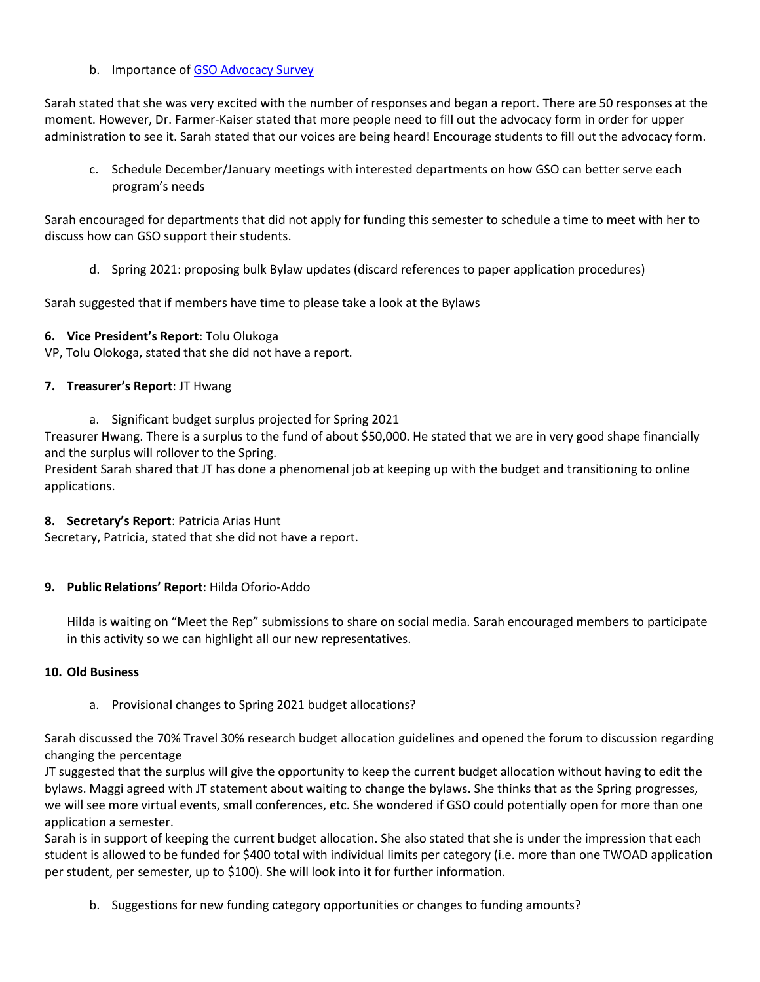### b. Importance of [GSO Advocacy Survey](https://forms.gle/VmoWNg5cQsj9mxKx5)

Sarah stated that she was very excited with the number of responses and began a report. There are 50 responses at the moment. However, Dr. Farmer-Kaiser stated that more people need to fill out the advocacy form in order for upper administration to see it. Sarah stated that our voices are being heard! Encourage students to fill out the advocacy form.

c. Schedule December/January meetings with interested departments on how GSO can better serve each program's needs

Sarah encouraged for departments that did not apply for funding this semester to schedule a time to meet with her to discuss how can GSO support their students.

d. Spring 2021: proposing bulk Bylaw updates (discard references to paper application procedures)

Sarah suggested that if members have time to please take a look at the Bylaws

#### **6. Vice President's Report**: Tolu Olukoga

VP, Tolu Olokoga, stated that she did not have a report.

### **7. Treasurer's Report**: JT Hwang

a. Significant budget surplus projected for Spring 2021

Treasurer Hwang. There is a surplus to the fund of about \$50,000. He stated that we are in very good shape financially and the surplus will rollover to the Spring.

President Sarah shared that JT has done a phenomenal job at keeping up with the budget and transitioning to online applications.

#### **8. Secretary's Report**: Patricia Arias Hunt

Secretary, Patricia, stated that she did not have a report.

## **9. Public Relations' Report**: Hilda Oforio-Addo

Hilda is waiting on "Meet the Rep" submissions to share on social media. Sarah encouraged members to participate in this activity so we can highlight all our new representatives.

#### **10. Old Business**

a. Provisional changes to Spring 2021 budget allocations?

Sarah discussed the 70% Travel 30% research budget allocation guidelines and opened the forum to discussion regarding changing the percentage

JT suggested that the surplus will give the opportunity to keep the current budget allocation without having to edit the bylaws. Maggi agreed with JT statement about waiting to change the bylaws. She thinks that as the Spring progresses, we will see more virtual events, small conferences, etc. She wondered if GSO could potentially open for more than one application a semester.

Sarah is in support of keeping the current budget allocation. She also stated that she is under the impression that each student is allowed to be funded for \$400 total with individual limits per category (i.e. more than one TWOAD application per student, per semester, up to \$100). She will look into it for further information.

b. Suggestions for new funding category opportunities or changes to funding amounts?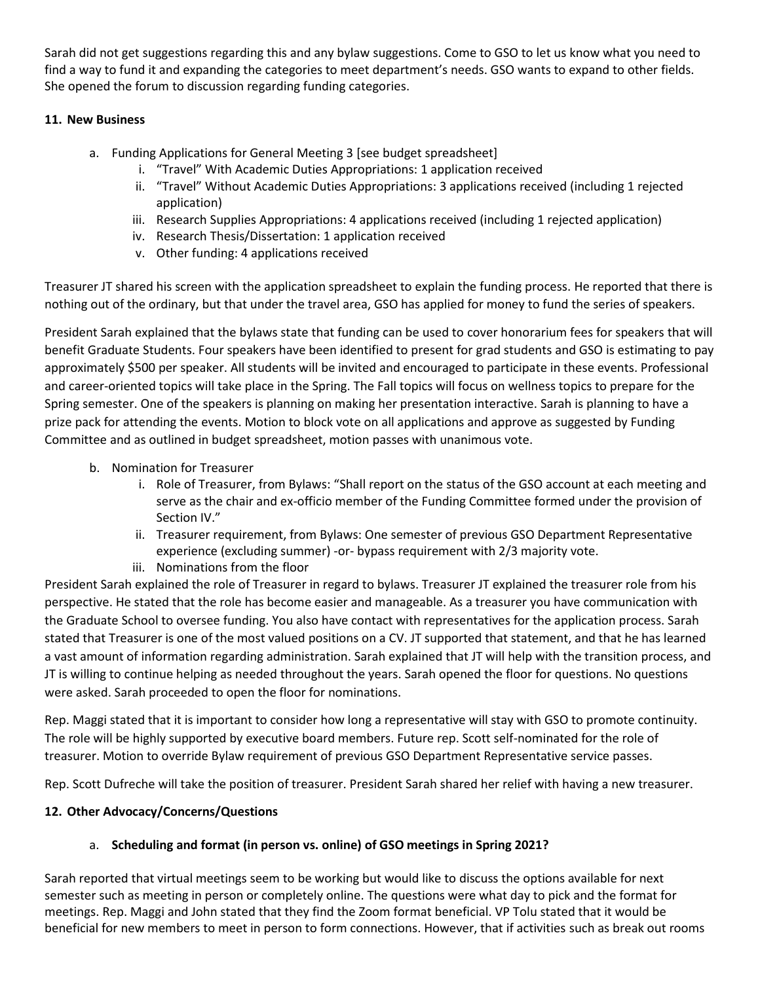Sarah did not get suggestions regarding this and any bylaw suggestions. Come to GSO to let us know what you need to find a way to fund it and expanding the categories to meet department's needs. GSO wants to expand to other fields. She opened the forum to discussion regarding funding categories.

## **11. New Business**

- a. Funding Applications for General Meeting 3 [see budget spreadsheet]
	- i. "Travel" With Academic Duties Appropriations: 1 application received
	- ii. "Travel" Without Academic Duties Appropriations: 3 applications received (including 1 rejected application)
	- iii. Research Supplies Appropriations: 4 applications received (including 1 rejected application)
	- iv. Research Thesis/Dissertation: 1 application received
	- v. Other funding: 4 applications received

Treasurer JT shared his screen with the application spreadsheet to explain the funding process. He reported that there is nothing out of the ordinary, but that under the travel area, GSO has applied for money to fund the series of speakers.

President Sarah explained that the bylaws state that funding can be used to cover honorarium fees for speakers that will benefit Graduate Students. Four speakers have been identified to present for grad students and GSO is estimating to pay approximately \$500 per speaker. All students will be invited and encouraged to participate in these events. Professional and career-oriented topics will take place in the Spring. The Fall topics will focus on wellness topics to prepare for the Spring semester. One of the speakers is planning on making her presentation interactive. Sarah is planning to have a prize pack for attending the events. Motion to block vote on all applications and approve as suggested by Funding Committee and as outlined in budget spreadsheet, motion passes with unanimous vote.

- b. Nomination for Treasurer
	- i. Role of Treasurer, from Bylaws: "Shall report on the status of the GSO account at each meeting and serve as the chair and ex-officio member of the Funding Committee formed under the provision of Section IV."
	- ii. Treasurer requirement, from Bylaws: One semester of previous GSO Department Representative experience (excluding summer) -or- bypass requirement with 2/3 majority vote.
	- iii. Nominations from the floor

President Sarah explained the role of Treasurer in regard to bylaws. Treasurer JT explained the treasurer role from his perspective. He stated that the role has become easier and manageable. As a treasurer you have communication with the Graduate School to oversee funding. You also have contact with representatives for the application process. Sarah stated that Treasurer is one of the most valued positions on a CV. JT supported that statement, and that he has learned a vast amount of information regarding administration. Sarah explained that JT will help with the transition process, and JT is willing to continue helping as needed throughout the years. Sarah opened the floor for questions. No questions were asked. Sarah proceeded to open the floor for nominations.

Rep. Maggi stated that it is important to consider how long a representative will stay with GSO to promote continuity. The role will be highly supported by executive board members. Future rep. Scott self-nominated for the role of treasurer. Motion to override Bylaw requirement of previous GSO Department Representative service passes.

Rep. Scott Dufreche will take the position of treasurer. President Sarah shared her relief with having a new treasurer.

## **12. Other Advocacy/Concerns/Questions**

## a. **Scheduling and format (in person vs. online) of GSO meetings in Spring 2021?**

Sarah reported that virtual meetings seem to be working but would like to discuss the options available for next semester such as meeting in person or completely online. The questions were what day to pick and the format for meetings. Rep. Maggi and John stated that they find the Zoom format beneficial. VP Tolu stated that it would be beneficial for new members to meet in person to form connections. However, that if activities such as break out rooms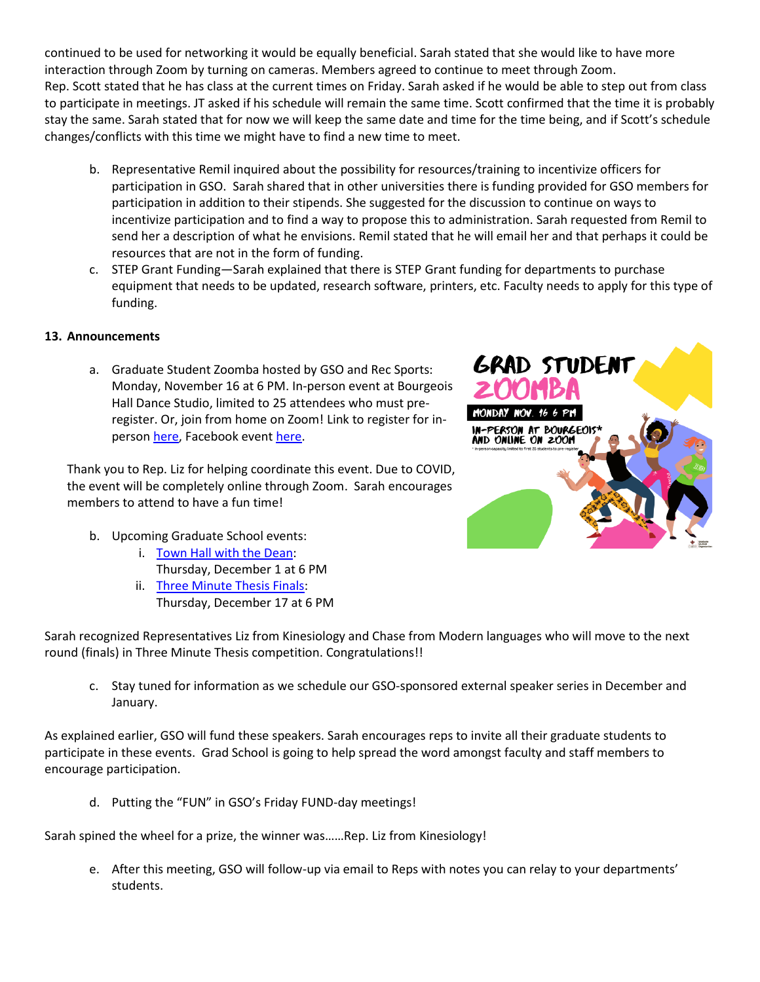continued to be used for networking it would be equally beneficial. Sarah stated that she would like to have more interaction through Zoom by turning on cameras. Members agreed to continue to meet through Zoom. Rep. Scott stated that he has class at the current times on Friday. Sarah asked if he would be able to step out from class to participate in meetings. JT asked if his schedule will remain the same time. Scott confirmed that the time it is probably stay the same. Sarah stated that for now we will keep the same date and time for the time being, and if Scott's schedule changes/conflicts with this time we might have to find a new time to meet.

- b. Representative Remil inquired about the possibility for resources/training to incentivize officers for participation in GSO. Sarah shared that in other universities there is funding provided for GSO members for participation in addition to their stipends. She suggested for the discussion to continue on ways to incentivize participation and to find a way to propose this to administration. Sarah requested from Remil to send her a description of what he envisions. Remil stated that he will email her and that perhaps it could be resources that are not in the form of funding.
- c. STEP Grant Funding—Sarah explained that there is STEP Grant funding for departments to purchase equipment that needs to be updated, research software, printers, etc. Faculty needs to apply for this type of funding.

## **13. Announcements**

a. Graduate Student Zoomba hosted by GSO and Rec Sports: Monday, November 16 at 6 PM. In-person event at Bourgeois Hall Dance Studio, limited to 25 attendees who must preregister. Or, join from home on Zoom! Link to register for inperso[n here,](file:///C:/Users/sarah/Downloads/calendar.louisiana.edu/gso/view/event/event_id/5508) Facebook event [here.](https://fb.me/e/3uYnDwsE3)

Thank you to Rep. Liz for helping coordinate this event. Due to COVID, the event will be completely online through Zoom. Sarah encourages members to attend to have a fun time!

- b. Upcoming Graduate School events:
	- i. [Town Hall with the Dean:](https://calendar.louisiana.edu/graduate-school/view/event/event_id/4987)
		- Thursday, December 1 at 6 PM
	- ii. [Three Minute Thesis Finals:](https://calendar.louisiana.edu/graduate-school/view/event/date/20201217/event_id/4988) Thursday, December 17 at 6 PM

Sarah recognized Representatives Liz from Kinesiology and Chase from Modern languages who will move to the next round (finals) in Three Minute Thesis competition. Congratulations!!

c. Stay tuned for information as we schedule our GSO-sponsored external speaker series in December and January.

As explained earlier, GSO will fund these speakers. Sarah encourages reps to invite all their graduate students to participate in these events. Grad School is going to help spread the word amongst faculty and staff members to encourage participation.

d. Putting the "FUN" in GSO's Friday FUND-day meetings!

Sarah spined the wheel for a prize, the winner was……Rep. Liz from Kinesiology!

e. After this meeting, GSO will follow-up via email to Reps with notes you can relay to your departments' students.